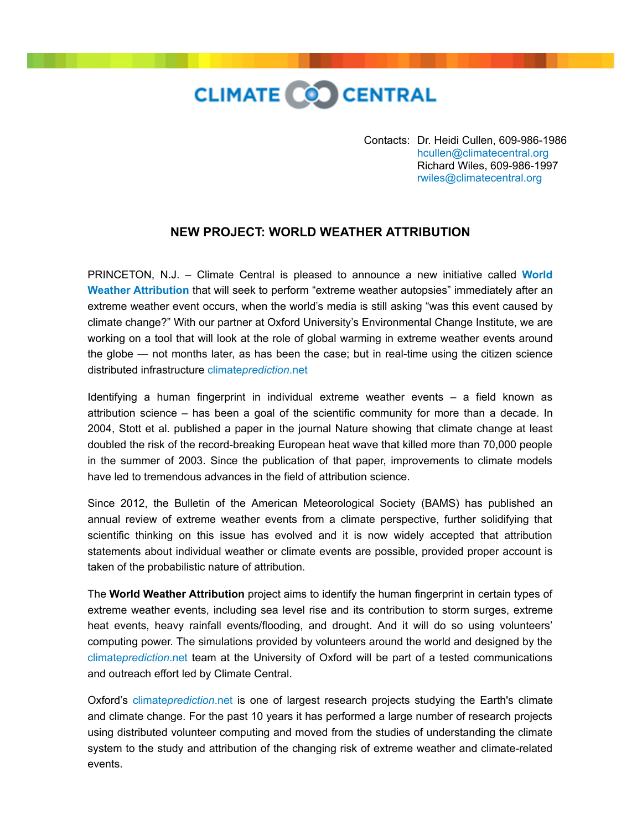

Contacts: Dr. Heidi Cullen, 609-986-1986 [hcullen@climatecentral.org](mailto:hcullen@climatecentral.org) Richard Wiles, 609-986-1997 [rwiles@climatecentral.org](mailto:rwiles@climatecentral.org)

## **NEW PROJECT: WORLD WEATHER ATTRIBUTION**

[PRINCETON, N.J. – Climate Central is pleased to announce a new initiative called](http://www.climatecentral.org/what-we-do/our-programs/climate-science) **World Weather Attribution** that will seek to perform "extreme weather autopsies" immediately after an extreme weather event occurs, when the world's media is still asking "was this event caused by climate change?" With our partner at Oxford University's Environmental Change Institute, we are working on a tool that will look at the role of global warming in extreme weather events around the globe — not months later, as has been the case; but in real-time using the citizen science distributed infrastructure climate*[prediction](http://www.climateprediction.net/)*.net

Identifying a human fingerprint in individual extreme weather events – a field known as attribution science – has been a goal of the scientific community for more than a decade. In 2004, Stott et al. published a paper in the journal Nature showing that climate change at least doubled the risk of the record-breaking European heat wave that killed more than 70,000 people in the summer of 2003. Since the publication of that paper, improvements to climate models have led to tremendous advances in the field of attribution science.

Since 2012, the Bulletin of the American Meteorological Society (BAMS) has published an annual review of extreme weather events from a climate perspective, further solidifying that scientific thinking on this issue has evolved and it is now widely accepted that attribution statements about individual weather or climate events are possible, provided proper account is taken of the probabilistic nature of attribution.

The **World Weather Attribution** project aims to identify the human fingerprint in certain types of extreme weather events, including sea level rise and its contribution to storm surges, extreme heat events, heavy rainfall events/flooding, and drought. And it will do so using volunteers' computing power. The simulations provided by volunteers around the world and designed by the climate*[prediction](http://www.climateprediction.net/)*.net team at the University of Oxford will be part of a tested communications and outreach effort led by Climate Central.

Oxford's climate*[prediction](http://www.climateprediction.net/)*.net is one of largest research projects studying the Earth's climate and climate change. For the past 10 years it has performed a large number of research projects using distributed volunteer computing and moved from the studies of understanding the climate system to the study and attribution of the changing risk of extreme weather and climate-related events.